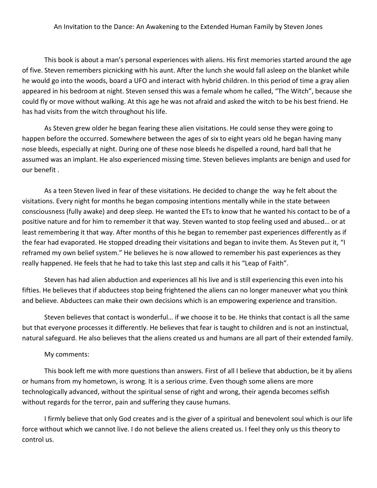This book is about a man's personal experiences with aliens. His first memories started around the age of five. Steven remembers picnicking with his aunt. After the lunch she would fall asleep on the blanket while he would go into the woods, board a UFO and interact with hybrid children. In this period of time a gray alien appeared in his bedroom at night. Steven sensed this was a female whom he called, "The Witch", because she could fly or move without walking. At this age he was not afraid and asked the witch to be his best friend. He has had visits from the witch throughout his life.

As Steven grew older he began fearing these alien visitations. He could sense they were going to happen before the occurred. Somewhere between the ages of six to eight years old he began having many nose bleeds, especially at night. During one of these nose bleeds he dispelled a round, hard ball that he assumed was an implant. He also experienced missing time. Steven believes implants are benign and used for our benefit .

As a teen Steven lived in fear of these visitations. He decided to change the way he felt about the visitations. Every night for months he began composing intentions mentally while in the state between consciousness (fully awake) and deep sleep. He wanted the ETs to know that he wanted his contact to be of a positive nature and for him to remember it that way. Steven wanted to stop feeling used and abused… or at least remembering it that way. After months of this he began to remember past experiences differently as if the fear had evaporated. He stopped dreading their visitations and began to invite them. As Steven put it, "I reframed my own belief system." He believes he is now allowed to remember his past experiences as they really happened. He feels that he had to take this last step and calls it his "Leap of Faith".

Steven has had alien abduction and experiences all his live and is still experiencing this even into his fifties. He believes that if abductees stop being frightened the aliens can no longer maneuver what you think and believe. Abductees can make their own decisions which is an empowering experience and transition.

Steven believes that contact is wonderful… if we choose it to be. He thinks that contact is all the same but that everyone processes it differently. He believes that fear is taught to children and is not an instinctual, natural safeguard. He also believes that the aliens created us and humans are all part of their extended family.

## My comments:

This book left me with more questions than answers. First of all I believe that abduction, be it by aliens or humans from my hometown, is wrong. It is a serious crime. Even though some aliens are more technologically advanced, without the spiritual sense of right and wrong, their agenda becomes selfish without regards for the terror, pain and suffering they cause humans.

I firmly believe that only God creates and is the giver of a spiritual and benevolent soul which is our life force without which we cannot live. I do not believe the aliens created us. I feel they only us this theory to control us.